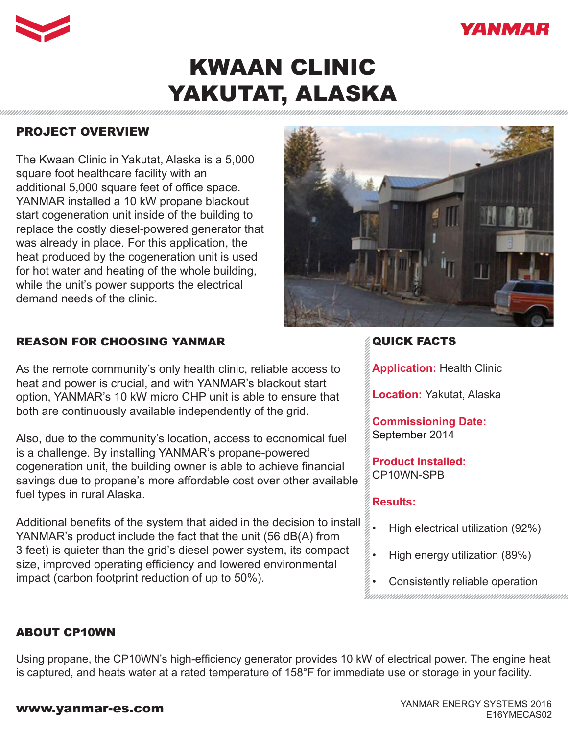



# KWAAN CLINIC YAKUTAT, ALASKA

## PROJECT OVERVIEW

The Kwaan Clinic in Yakutat, Alaska is a 5,000 square foot healthcare facility with an additional 5,000 square feet of office space. YANMAR installed a 10 kW propane blackout start cogeneration unit inside of the building to replace the costly diesel-powered generator that was already in place. For this application, the heat produced by the cogeneration unit is used for hot water and heating of the whole building, while the unit's power supports the electrical demand needs of the clinic.

## REASON FOR CHOOSING YANMAR

As the remote community's only health clinic, reliable access to heat and power is crucial, and with YANMAR's blackout start option, YANMAR's 10 kW micro CHP unit is able to ensure that both are continuously available independently of the grid.

Also, due to the community's location, access to economical fuel is a challenge. By installing YANMAR's propane-powered cogeneration unit, the building owner is able to achieve financial savings due to propane's more affordable cost over other available fuel types in rural Alaska.

Additional benefits of the system that aided in the decision to install YANMAR's product include the fact that the unit (56 dB(A) from 3 feet) is quieter than the grid's diesel power system, its compact size, improved operating efficiency and lowered environmental impact (carbon footprint reduction of up to 50%).



## QUICK FACTS

**Application:** Health Clinic

**Location:** Yakutat, Alaska

**Commissioning Date:**  September 2014

**Product Installed:** CP10WN-SPB

#### **Results:**

- High electrical utilization (92%)
- High energy utilization (89%)
- Consistently reliable operation

#### ABOUT CP10WN

Using propane, the CP10WN's high-efficiency generator provides 10 kW of electrical power. The engine heat is captured, and heats water at a rated temperature of 158°F for immediate use or storage in your facility.